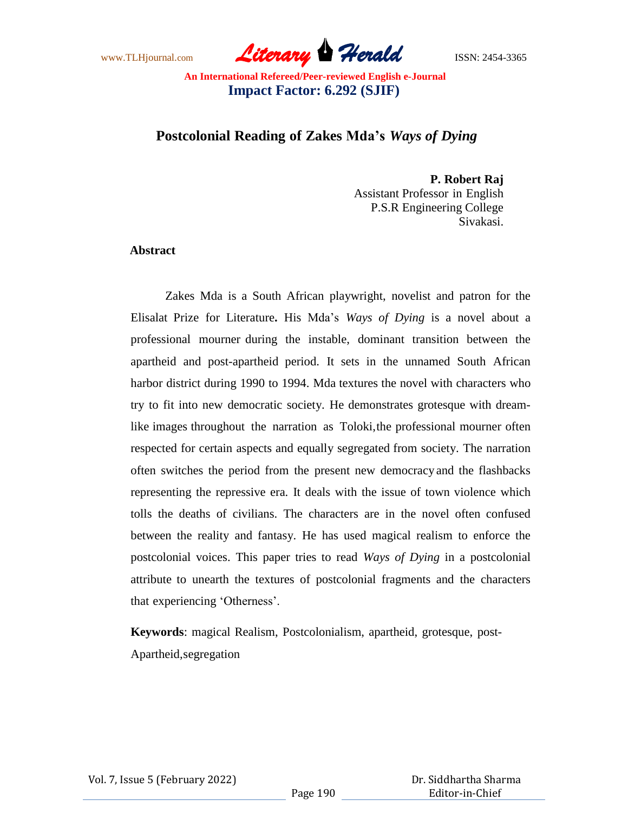www.TLHjournal.com *Literary Herald*ISSN: 2454-3365

# **Postcolonial Reading of Zakes Mda's** *Ways of Dying*

**P. Robert Raj** Assistant Professor in English P.S.R Engineering College Sivakasi.

### **Abstract**

Zakes Mda is a South African playwright, novelist and patron for the Elisalat Prize for Literature**.** His Mda"s *Ways of Dying* is a novel about a professional mourner during the instable, dominant transition between the apartheid and post-apartheid period. It sets in the unnamed South African harbor district during 1990 to 1994. Mda textures the novel with characters who try to fit into new democratic society. He demonstrates grotesque with dreamlike images throughout the narration as Toloki,the professional mourner often respected for certain aspects and equally segregated from society. The narration often switches the period from the present new democracy and the flashbacks representing the repressive era. It deals with the issue of town violence which tolls the deaths of civilians. The characters are in the novel often confused between the reality and fantasy. He has used magical realism to enforce the postcolonial voices. This paper tries to read *Ways of Dying* in a postcolonial attribute to unearth the textures of postcolonial fragments and the characters that experiencing "Otherness".

**Keywords**: magical Realism, Postcolonialism, apartheid, grotesque, post-Apartheid,segregation

Vol. 7, Issue 5 (February 2022)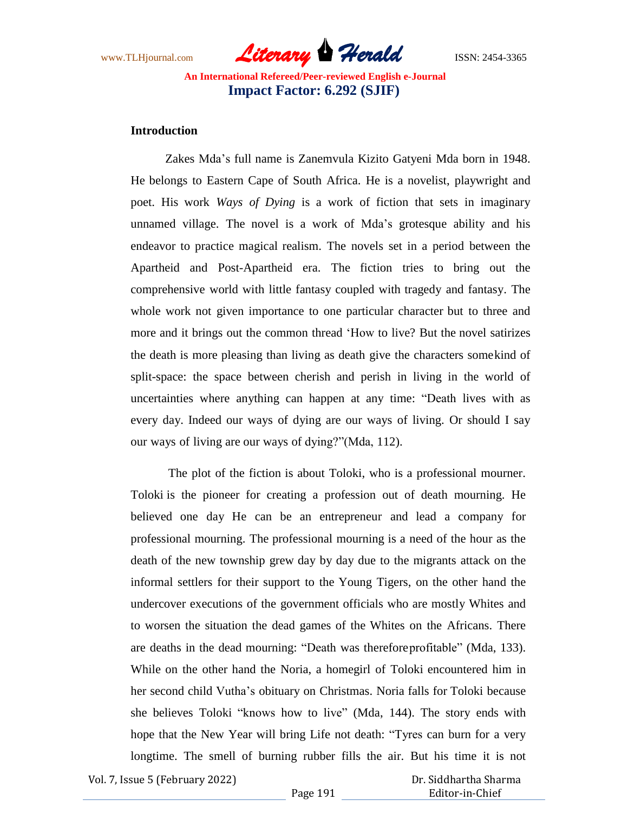www.TLHjournal.com **Literary Herald** ISSN: 2454-3365

### **Introduction**

Zakes Mda"s full name is Zanemvula Kizito Gatyeni Mda born in 1948. He belongs to Eastern Cape of South Africa. He is a novelist, playwright and poet. His work *Ways of Dying* is a work of fiction that sets in imaginary unnamed village. The novel is a work of Mda"s grotesque ability and his endeavor to practice magical realism. The novels set in a period between the Apartheid and Post-Apartheid era. The fiction tries to bring out the comprehensive world with little fantasy coupled with tragedy and fantasy. The whole work not given importance to one particular character but to three and more and it brings out the common thread "How to live? But the novel satirizes the death is more pleasing than living as death give the characters somekind of split-space: the space between cherish and perish in living in the world of uncertainties where anything can happen at any time: "Death lives with as every day. Indeed our ways of dying are our ways of living. Or should I say our ways of living are our ways of dying?"(Mda, 112).

The plot of the fiction is about Toloki, who is a professional mourner. Toloki is the pioneer for creating a profession out of death mourning. He believed one day He can be an entrepreneur and lead a company for professional mourning. The professional mourning is a need of the hour as the death of the new township grew day by day due to the migrants attack on the informal settlers for their support to the Young Tigers, on the other hand the undercover executions of the government officials who are mostly Whites and to worsen the situation the dead games of the Whites on the Africans. There are deaths in the dead mourning: "Death was thereforeprofitable" (Mda, 133). While on the other hand the Noria, a homegirl of Toloki encountered him in her second child Vutha"s obituary on Christmas. Noria falls for Toloki because she believes Toloki "knows how to live" (Mda, 144). The story ends with hope that the New Year will bring Life not death: "Tyres can burn for a very longtime. The smell of burning rubber fills the air. But his time it is not

Vol. 7, Issue 5 (February 2022)

 Dr. Siddhartha Sharma Editor-in-Chief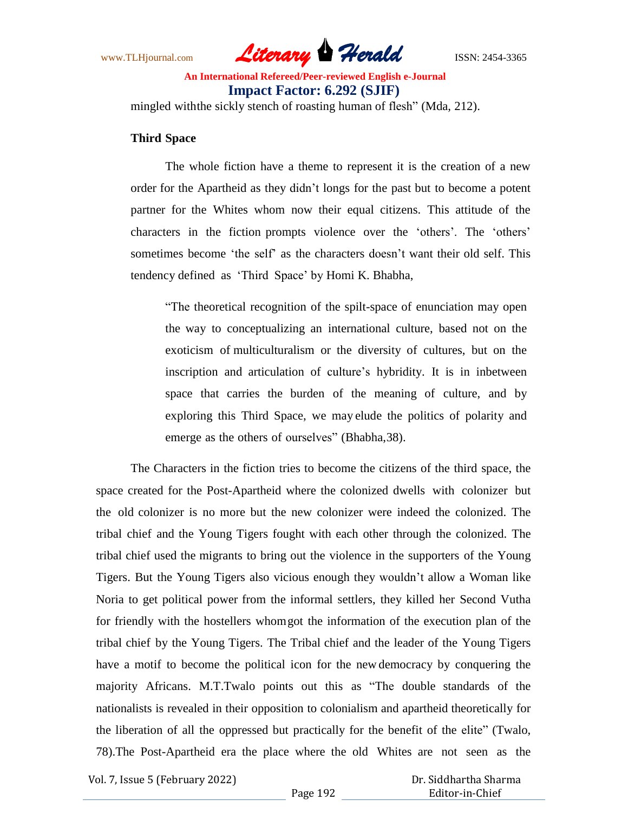www.TLHjournal.com *Literary Herald*ISSN: 2454-3365

mingled withthe sickly stench of roasting human of flesh" (Mda, 212).

### **Third Space**

The whole fiction have a theme to represent it is the creation of a new order for the Apartheid as they didn"t longs for the past but to become a potent partner for the Whites whom now their equal citizens. This attitude of the characters in the fiction prompts violence over the "others". The "others" sometimes become "the self" as the characters doesn"t want their old self. This tendency defined as "Third Space" by Homi K. Bhabha,

"The theoretical recognition of the spilt-space of enunciation may open the way to conceptualizing an international culture, based not on the exoticism of multiculturalism or the diversity of cultures, but on the inscription and articulation of culture's hybridity. It is in inbetween space that carries the burden of the meaning of culture, and by exploring this Third Space, we may elude the politics of polarity and emerge as the others of ourselves" (Bhabha,38).

The Characters in the fiction tries to become the citizens of the third space, the space created for the Post-Apartheid where the colonized dwells with colonizer but the old colonizer is no more but the new colonizer were indeed the colonized. The tribal chief and the Young Tigers fought with each other through the colonized. The tribal chief used the migrants to bring out the violence in the supporters of the Young Tigers. But the Young Tigers also vicious enough they wouldn"t allow a Woman like Noria to get political power from the informal settlers, they killed her Second Vutha for friendly with the hostellers whomgot the information of the execution plan of the tribal chief by the Young Tigers. The Tribal chief and the leader of the Young Tigers have a motif to become the political icon for the new democracy by conquering the majority Africans. M.T.Twalo points out this as "The double standards of the nationalists is revealed in their opposition to colonialism and apartheid theoretically for the liberation of all the oppressed but practically for the benefit of the elite" (Twalo, 78).The Post-Apartheid era the place where the old Whites are not seen as the

Vol. 7, Issue 5 (February 2022)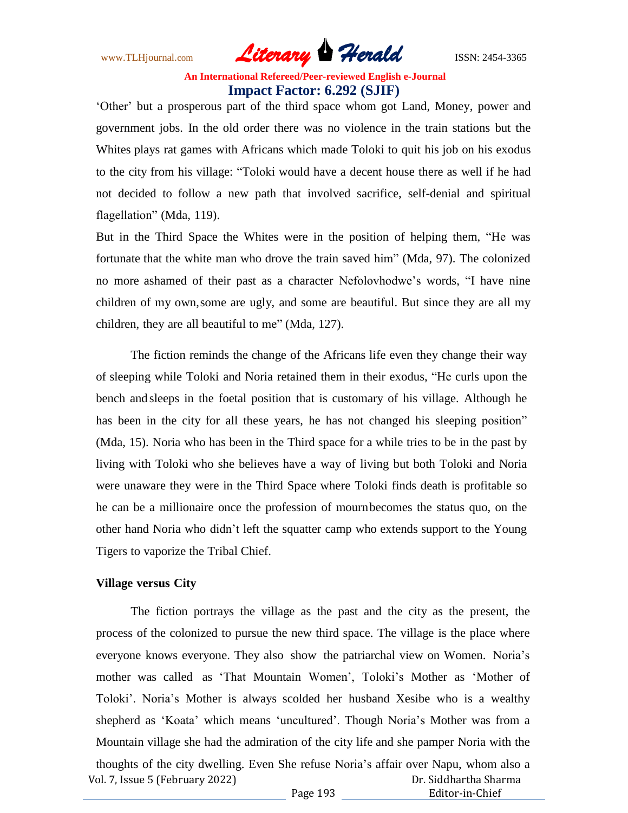www.TLHjournal.com *Literary Herald*ISSN: 2454-3365

'Other' but a prosperous part of the third space whom got Land, Money, power and government jobs. In the old order there was no violence in the train stations but the Whites plays rat games with Africans which made Toloki to quit his job on his exodus to the city from his village: "Toloki would have a decent house there as well if he had not decided to follow a new path that involved sacrifice, self-denial and spiritual flagellation" (Mda, 119).

But in the Third Space the Whites were in the position of helping them, "He was fortunate that the white man who drove the train saved him" (Mda, 97). The colonized no more ashamed of their past as a character Nefolovhodwe"s words, "I have nine children of my own,some are ugly, and some are beautiful. But since they are all my children, they are all beautiful to me" (Mda, 127).

The fiction reminds the change of the Africans life even they change their way of sleeping while Toloki and Noria retained them in their exodus, "He curls upon the bench and sleeps in the foetal position that is customary of his village. Although he has been in the city for all these years, he has not changed his sleeping position" (Mda, 15). Noria who has been in the Third space for a while tries to be in the past by living with Toloki who she believes have a way of living but both Toloki and Noria were unaware they were in the Third Space where Toloki finds death is profitable so he can be a millionaire once the profession of mournbecomes the status quo, on the other hand Noria who didn"t left the squatter camp who extends support to the Young Tigers to vaporize the Tribal Chief.

### **Village versus City**

The fiction portrays the village as the past and the city as the present, the process of the colonized to pursue the new third space. The village is the place where everyone knows everyone. They also show the patriarchal view on Women. Noria"s mother was called as 'That Mountain Women', Toloki's Mother as 'Mother of Toloki". Noria"s Mother is always scolded her husband Xesibe who is a wealthy shepherd as "Koata" which means "uncultured". Though Noria"s Mother was from a Mountain village she had the admiration of the city life and she pamper Noria with the

Vol. 7, Issue 5 (February 2022) Page 193 Dr. Siddhartha Sharma Editor-in-Chief thoughts of the city dwelling. Even She refuse Noria"s affair over Napu, whom also a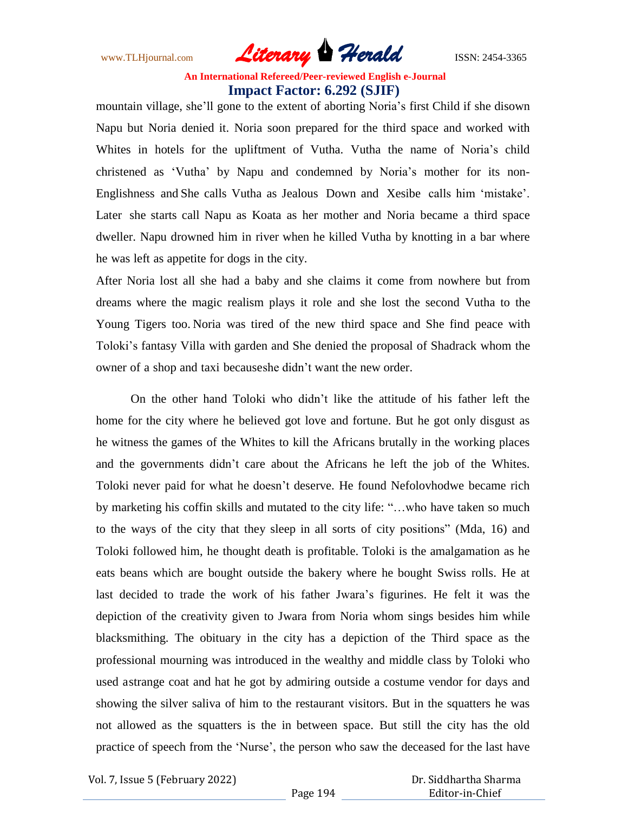www.TLHjournal.com *Literary Herald*ISSN: 2454-3365

mountain village, she"ll gone to the extent of aborting Noria"s first Child if she disown Napu but Noria denied it. Noria soon prepared for the third space and worked with Whites in hotels for the upliftment of Vutha. Vutha the name of Noria"s child christened as "Vutha" by Napu and condemned by Noria"s mother for its non-Englishness and She calls Vutha as Jealous Down and Xesibe calls him "mistake". Later she starts call Napu as Koata as her mother and Noria became a third space dweller. Napu drowned him in river when he killed Vutha by knotting in a bar where he was left as appetite for dogs in the city.

After Noria lost all she had a baby and she claims it come from nowhere but from dreams where the magic realism plays it role and she lost the second Vutha to the Young Tigers too. Noria was tired of the new third space and She find peace with Toloki"s fantasy Villa with garden and She denied the proposal of Shadrack whom the owner of a shop and taxi becauseshe didn"t want the new order.

On the other hand Toloki who didn"t like the attitude of his father left the home for the city where he believed got love and fortune. But he got only disgust as he witness the games of the Whites to kill the Africans brutally in the working places and the governments didn"t care about the Africans he left the job of the Whites. Toloki never paid for what he doesn"t deserve. He found Nefolovhodwe became rich by marketing his coffin skills and mutated to the city life: "…who have taken so much to the ways of the city that they sleep in all sorts of city positions" (Mda, 16) and Toloki followed him, he thought death is profitable. Toloki is the amalgamation as he eats beans which are bought outside the bakery where he bought Swiss rolls. He at last decided to trade the work of his father Jwara"s figurines. He felt it was the depiction of the creativity given to Jwara from Noria whom sings besides him while blacksmithing. The obituary in the city has a depiction of the Third space as the professional mourning was introduced in the wealthy and middle class by Toloki who used astrange coat and hat he got by admiring outside a costume vendor for days and showing the silver saliva of him to the restaurant visitors. But in the squatters he was not allowed as the squatters is the in between space. But still the city has the old practice of speech from the "Nurse", the person who saw the deceased for the last have

Vol. 7, Issue 5 (February 2022)